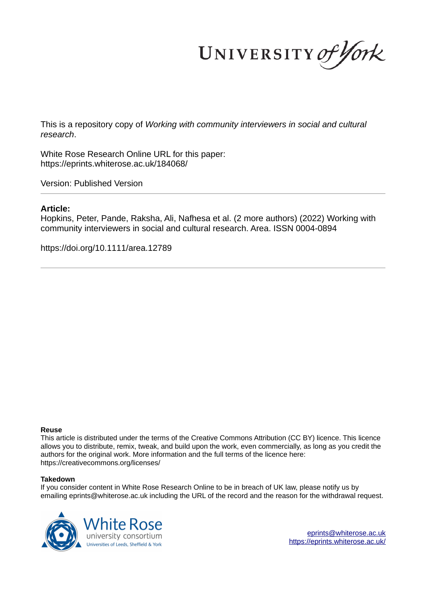UNIVERSITY of York

This is a repository copy of *Working with community interviewers in social and cultural research*.

White Rose Research Online URL for this paper: https://eprints.whiterose.ac.uk/184068/

Version: Published Version

#### **Article:**

Hopkins, Peter, Pande, Raksha, Ali, Nafhesa et al. (2 more authors) (2022) Working with community interviewers in social and cultural research. Area. ISSN 0004-0894

https://doi.org/10.1111/area.12789

#### **Reuse**

This article is distributed under the terms of the Creative Commons Attribution (CC BY) licence. This licence allows you to distribute, remix, tweak, and build upon the work, even commercially, as long as you credit the authors for the original work. More information and the full terms of the licence here: https://creativecommons.org/licenses/

#### **Takedown**

If you consider content in White Rose Research Online to be in breach of UK law, please notify us by emailing eprints@whiterose.ac.uk including the URL of the record and the reason for the withdrawal request.



eprints@whiterose.ac.uk https://eprints.whiterose.ac.uk/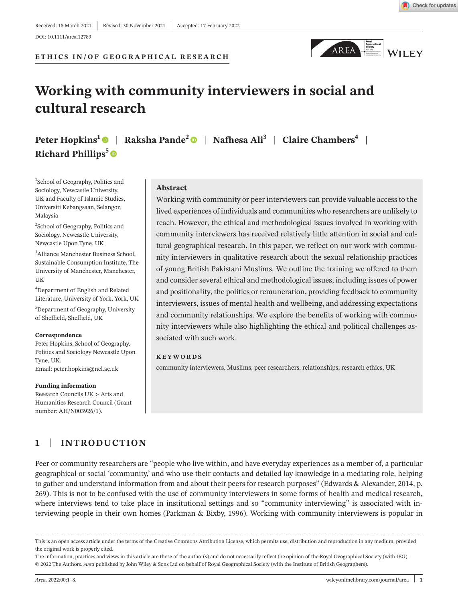**ETHICS IN/OF GEOGRAPHICAL RESEARCH**



# **Working with community interviewers in social and cultural research**

**Peter Hopkins<sup>1</sup>** | **Raksha Pande<sup>2</sup>** | **Nafhesa Ali<sup>3</sup>** | **Claire Chambers<sup>4</sup>** | **Richard Phillips<sup>5</sup>**

1 School of Geography, Politics and Sociology, Newcastle University, UK and Faculty of Islamic Studies, Universiti Kebangsaan, Selangor, Malaysia

<sup>2</sup>School of Geography, Politics and Sociology, Newcastle University, Newcastle Upon Tyne, UK

<sup>3</sup>Alliance Manchester Business School, Sustainable Consumption Institute, The University of Manchester, Manchester, UK

<sup>4</sup>Department of English and Related Literature, University of York, York, UK

<sup>5</sup>Department of Geography, University of Sheffield, Sheffield, UK

#### **Correspondence**

Peter Hopkins, School of Geography, Politics and Sociology Newcastle Upon Tyne, UK. Email: peter.hopkins@ncl.ac.uk

**Funding information** Research Councils UK > Arts and Humanities Research Council (Grant number: AH/N003926/1).

#### **Abstract**

Working with community or peer interviewers can provide valuable access to the lived experiences of individuals and communities who researchers are unlikely to reach. However, the ethical and methodological issues involved in working with community interviewers has received relatively little attention in social and cultural geographical research. In this paper, we reflect on our work with community interviewers in qualitative research about the sexual relationship practices of young British Pakistani Muslims. We outline the training we offered to them and consider several ethical and methodological issues, including issues of power and positionality, the politics or remuneration, providing feedback to community interviewers, issues of mental health and wellbeing, and addressing expectations and community relationships. We explore the benefits of working with community interviewers while also highlighting the ethical and political challenges associated with such work.

#### **KEYWORDS**

community interviewers, Muslims, peer researchers, relationships, research ethics, UK

# **1** | **INTRODUCTION**

Peer or community researchers are "people who live within, and have everyday experiences as a member of, a particular geographical or social 'community,' and who use their contacts and detailed lay knowledge in a mediating role, helping to gather and understand information from and about their peers for research purposes" (Edwards & Alexander, 2014, p. 269). This is not to be confused with the use of community interviewers in some forms of health and medical research, where interviews tend to take place in institutional settings and so "community interviewing" is associated with interviewing people in their own homes (Parkman & Bixby, 1996). Working with community interviewers is popular in

This is an open access article under the terms of the Creative Commons Attribution License, which permits use, distribution and reproduction in any medium, provided the original work is properly cited.

The information, practices and views in this article are those of the author(s) and do not necessarily reflect the opinion of the Royal Geographical Society (with IBG). © 2022 The Authors. *Area* published by John Wiley & Sons Ltd on behalf of Royal Geographical Society (with the Institute of British Geographers).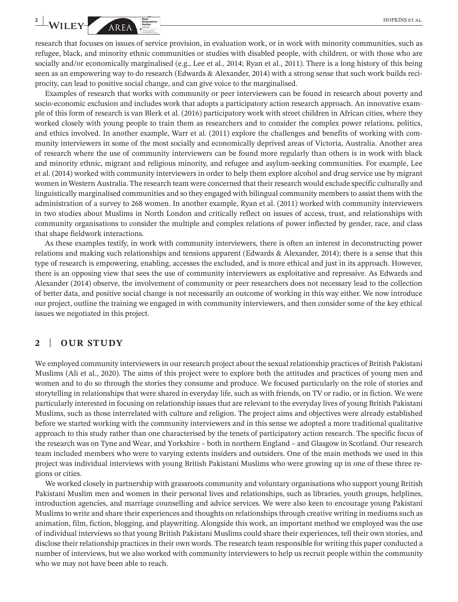research that focuses on issues of service provision, in evaluation work, or in work with minority communities, such as refugee, black, and minority ethnic communities or studies with disabled people, with children, or with those who are socially and/or economically marginalised (e.g., Lee et al., 2014; Ryan et al., 2011). There is a long history of this being seen as an empowering way to do research (Edwards & Alexander, 2014) with a strong sense that such work builds reciprocity, can lead to positive social change, and can give voice to the marginalised.

Examples of research that works with community or peer interviewers can be found in research about poverty and socio- economic exclusion and includes work that adopts a participatory action research approach. An innovative example of this form of research is van Blerk et al. (2016) participatory work with street children in African cities, where they worked closely with young people to train them as researchers and to consider the complex power relations, politics, and ethics involved. In another example, Warr et al. (2011) explore the challenges and benefits of working with community interviewers in some of the most socially and economically deprived areas of Victoria, Australia. Another area of research where the use of community interviewers can be found more regularly than others is in work with black and minority ethnic, migrant and religious minority, and refugee and asylum- seeking communities. For example, Lee et al. (2014) worked with community interviewers in order to help them explore alcohol and drug service use by migrant women in Western Australia. The research team were concerned that their research would exclude specific culturally and linguistically marginalised communities and so they engaged with bilingual community members to assist them with the administration of a survey to 268 women. In another example, Ryan et al. (2011) worked with community interviewers in two studies about Muslims in North London and critically reflect on issues of access, trust, and relationships with community organisations to consider the multiple and complex relations of power inflected by gender, race, and class that shape fieldwork interactions.

As these examples testify, in work with community interviewers, there is often an interest in deconstructing power relations and making such relationships and tensions apparent (Edwards & Alexander, 2014); there is a sense that this type of research is empowering, enabling, accesses the excluded, and is more ethical and just in its approach. However, there is an opposing view that sees the use of community interviewers as exploitative and repressive. As Edwards and Alexander (2014) observe, the involvement of community or peer researchers does not necessary lead to the collection of better data, and positive social change is not necessarily an outcome of working in this way either. We now introduce our project, outline the training we engaged in with community interviewers, and then consider some of the key ethical issues we negotiated in this project.

#### **2** | **OUR STUDY**

We employed community interviewers in our research project about the sexual relationship practices of British Pakistani Muslims (Ali et al., 2020). The aims of this project were to explore both the attitudes and practices of young men and women and to do so through the stories they consume and produce. We focused particularly on the role of stories and storytelling in relationships that were shared in everyday life, such as with friends, on TV or radio, or in fiction. We were particularly interested in focusing on relationship issues that are relevant to the everyday lives of young British Pakistani Muslims, such as those interrelated with culture and religion. The project aims and objectives were already established before we started working with the community interviewers and in this sense we adopted a more traditional qualitative approach to this study rather than one characterised by the tenets of participatory action research. The specific focus of the research was on Tyne and Wear, and Yorkshire – both in northern England – and Glasgow in Scotland. Our research team included members who were to varying extents insiders and outsiders. One of the main methods we used in this project was individual interviews with young British Pakistani Muslims who were growing up in one of these three regions or cities.

We worked closely in partnership with grassroots community and voluntary organisations who support young British Pakistani Muslim men and women in their personal lives and relationships, such as libraries, youth groups, helplines, introduction agencies, and marriage counselling and advice services. We were also keen to encourage young Pakistani Muslims to write and share their experiences and thoughts on relationships through creative writing in mediums such as animation, film, fiction, blogging, and playwriting. Alongside this work, an important method we employed was the use of individual interviews so that young British Pakistani Muslims could share their experiences, tell their own stories, and disclose their relationship practices in their own words. The research team responsible for writing this paper conducted a number of interviews, but we also worked with community interviewers to help us recruit people within the community who we may not have been able to reach.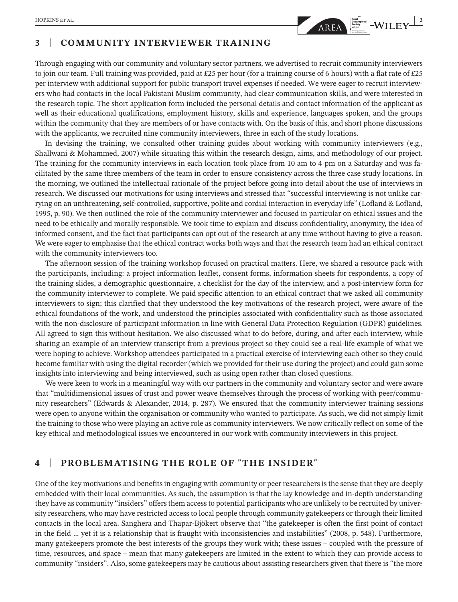

# **3** | **COMMUNITY INTERVIEWER TRAINING**

Through engaging with our community and voluntary sector partners, we advertised to recruit community interviewers to join our team. Full training was provided, paid at £25 per hour (for a training course of 6 hours) with a flat rate of £25 per interview with additional support for public transport travel expenses if needed. We were eager to recruit interviewers who had contacts in the local Pakistani Muslim community, had clear communication skills, and were interested in the research topic. The short application form included the personal details and contact information of the applicant as well as their educational qualifications, employment history, skills and experience, languages spoken, and the groups within the community that they are members of or have contacts with. On the basis of this, and short phone discussions with the applicants, we recruited nine community interviewers, three in each of the study locations.

In devising the training, we consulted other training guides about working with community interviewers (e.g., Shallwani & Mohammed, 2007) while situating this within the research design, aims, and methodology of our project. The training for the community interviews in each location took place from 10 am to 4 pm on a Saturday and was facilitated by the same three members of the team in order to ensure consistency across the three case study locations. In the morning, we outlined the intellectual rationale of the project before going into detail about the use of interviews in research. We discussed our motivations for using interviews and stressed that "successful interviewing is not unlike carrying on an unthreatening, self- controlled, supportive, polite and cordial interaction in everyday life" (Lofland & Lofland, 1995, p. 90). We then outlined the role of the community interviewer and focused in particular on ethical issues and the need to be ethically and morally responsible. We took time to explain and discuss confidentiality, anonymity, the idea of informed consent, and the fact that participants can opt out of the research at any time without having to give a reason. We were eager to emphasise that the ethical contract works both ways and that the research team had an ethical contract with the community interviewers too.

The afternoon session of the training workshop focused on practical matters. Here, we shared a resource pack with the participants, including: a project information leaflet, consent forms, information sheets for respondents, a copy of the training slides, a demographic questionnaire, a checklist for the day of the interview, and a post-interview form for the community interviewer to complete. We paid specific attention to an ethical contract that we asked all community interviewers to sign; this clarified that they understood the key motivations of the research project, were aware of the ethical foundations of the work, and understood the principles associated with confidentiality such as those associated with the non-disclosure of participant information in line with General Data Protection Regulation (GDPR) guidelines. All agreed to sign this without hesitation. We also discussed what to do before, during, and after each interview, while sharing an example of an interview transcript from a previous project so they could see a real- life example of what we were hoping to achieve. Workshop attendees participated in a practical exercise of interviewing each other so they could become familiar with using the digital recorder (which we provided for their use during the project) and could gain some insights into interviewing and being interviewed, such as using open rather than closed questions.

We were keen to work in a meaningful way with our partners in the community and voluntary sector and were aware that "multidimensional issues of trust and power weave themselves through the process of working with peer/community researchers" (Edwards & Alexander, 2014, p. 287). We ensured that the community interviewer training sessions were open to anyone within the organisation or community who wanted to participate. As such, we did not simply limit the training to those who were playing an active role as community interviewers. We now critically reflect on some of the key ethical and methodological issues we encountered in our work with community interviewers in this project.

# **4** | **PROBLEMATISING THE ROLE OF "THE INSIDER"**

One of the key motivations and benefits in engaging with community or peer researchers is the sense that they are deeply embedded with their local communities. As such, the assumption is that the lay knowledge and in- depth understanding they have as community "insiders" offers them access to potential participants who are unlikely to be recruited by university researchers, who may have restricted access to local people through community gatekeepers or through their limited contacts in the local area. Sanghera and Thapar- Bjökert observe that "the gatekeeper is often the first point of contact in the field … yet it is a relationship that is fraught with inconsistencies and instabilities" (2008, p. 548). Furthermore, many gatekeepers promote the best interests of the groups they work with; these issues – coupled with the pressure of time, resources, and space – mean that many gatekeepers are limited in the extent to which they can provide access to community "insiders". Also, some gatekeepers may be cautious about assisting researchers given that there is "the more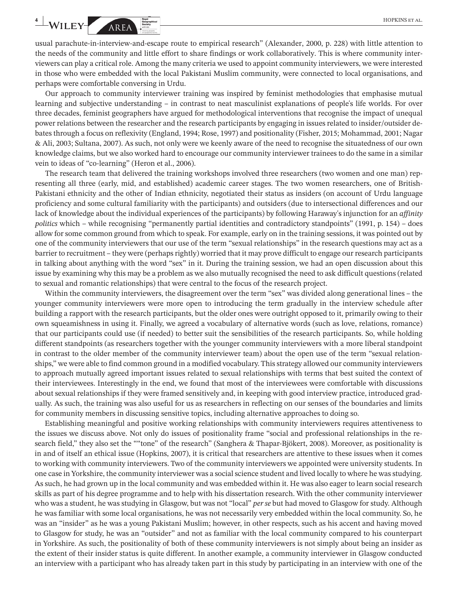usual parachute-in-interview-and-escape route to empirical research" (Alexander, 2000, p. 228) with little attention to the needs of the community and little effort to share findings or work collaboratively. This is where community interviewers can play a critical role. Among the many criteria we used to appoint community interviewers, we were interested in those who were embedded with the local Pakistani Muslim community, were connected to local organisations, and perhaps were comfortable conversing in Urdu.

Our approach to community interviewer training was inspired by feminist methodologies that emphasise mutual learning and subjective understanding – in contrast to neat masculinist explanations of people's life worlds. For over three decades, feminist geographers have argued for methodological interventions that recognise the impact of unequal power relations between the researcher and the research participants by engaging in issues related to insider/outsider debates through a focus on reflexivity (England, 1994; Rose, 1997) and positionality (Fisher, 2015; Mohammad, 2001; Nagar & Ali, 2003; Sultana, 2007). As such, not only were we keenly aware of the need to recognise the situatedness of our own knowledge claims, but we also worked hard to encourage our community interviewer trainees to do the same in a similar vein to ideas of "co-learning" (Heron et al., 2006).

The research team that delivered the training workshops involved three researchers (two women and one man) representing all three (early, mid, and established) academic career stages. The two women researchers, one of British-Pakistani ethnicity and the other of Indian ethnicity, negotiated their status as insiders (on account of Urdu language proficiency and some cultural familiarity with the participants) and outsiders (due to intersectional differences and our lack of knowledge about the individual experiences of the participants) by following Haraway's injunction for an *affinity politics* which – while recognising "permanently partial identities and contradictory standpoints" (1991, p. 154) – does allow for some common ground from which to speak. For example, early on in the training sessions, it was pointed out by one of the community interviewers that our use of the term "sexual relationships" in the research questions may act as a barrier to recruitment – they were (perhaps rightly) worried that it may prove difficult to engage our research participants in talking about anything with the word "sex" in it. During the training session, we had an open discussion about this issue by examining why this may be a problem as we also mutually recognised the need to ask difficult questions (related to sexual and romantic relationships) that were central to the focus of the research project.

Within the community interviewers, the disagreement over the term "sex" was divided along generational lines – the younger community interviewers were more open to introducing the term gradually in the interview schedule after building a rapport with the research participants, but the older ones were outright opposed to it, primarily owing to their own squeamishness in using it. Finally, we agreed a vocabulary of alternative words (such as love, relations, romance) that our participants could use (if needed) to better suit the sensibilities of the research participants. So, while holding different standpoints (as researchers together with the younger community interviewers with a more liberal standpoint in contrast to the older member of the community interviewer team) about the open use of the term "sexual relationships," we were able to find common ground in a modified vocabulary. This strategy allowed our community interviewers to approach mutually agreed important issues related to sexual relationships with terms that best suited the context of their interviewees. Interestingly in the end, we found that most of the interviewees were comfortable with discussions about sexual relationships if they were framed sensitively and, in keeping with good interview practice, introduced gradually. As such, the training was also useful for us as researchers in reflecting on our senses of the boundaries and limits for community members in discussing sensitive topics, including alternative approaches to doing so.

Establishing meaningful and positive working relationships with community interviewers requires attentiveness to the issues we discuss above. Not only do issues of positionality frame "social and professional relationships in the research field," they also set the ""tone" of the research" (Sanghera & Thapar- Bjökert, 2008). Moreover, as positionality is in and of itself an ethical issue (Hopkins, 2007), it is critical that researchers are attentive to these issues when it comes to working with community interviewers. Two of the community interviewers we appointed were university students. In one case in Yorkshire, the community interviewer was a social science student and lived locally to where he was studying. As such, he had grown up in the local community and was embedded within it. He was also eager to learn social research skills as part of his degree programme and to help with his dissertation research. With the other community interviewer who was a student, he was studying in Glasgow, but was not "local" *per se* but had moved to Glasgow for study. Although he was familiar with some local organisations, he was not necessarily very embedded within the local community. So, he was an "insider" as he was a young Pakistani Muslim; however, in other respects, such as his accent and having moved to Glasgow for study, he was an "outsider" and not as familiar with the local community compared to his counterpart in Yorkshire. As such, the positionality of both of these community interviewers is not simply about being an insider as the extent of their insider status is quite different. In another example, a community interviewer in Glasgow conducted an interview with a participant who has already taken part in this study by participating in an interview with one of the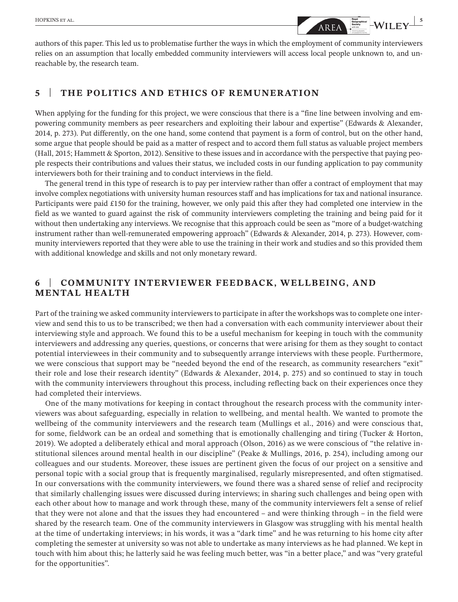

authors of this paper. This led us to problematise further the ways in which the employment of community interviewers relies on an assumption that locally embedded community interviewers will access local people unknown to, and unreachable by, the research team.

## **5** | **THE POLITICS AND ETHICS OF REMUNERATION**

When applying for the funding for this project, we were conscious that there is a "fine line between involving and empowering community members as peer researchers and exploiting their labour and expertise" (Edwards & Alexander, 2014, p. 273). Put differently, on the one hand, some contend that payment is a form of control, but on the other hand, some argue that people should be paid as a matter of respect and to accord them full status as valuable project members (Hall, 2015; Hammett & Sporton, 2012). Sensitive to these issues and in accordance with the perspective that paying people respects their contributions and values their status, we included costs in our funding application to pay community interviewers both for their training and to conduct interviews in the field.

The general trend in this type of research is to pay per interview rather than offer a contract of employment that may involve complex negotiations with university human resources staff and has implications for tax and national insurance. Participants were paid £150 for the training, however, we only paid this after they had completed one interview in the field as we wanted to guard against the risk of community interviewers completing the training and being paid for it without then undertaking any interviews. We recognise that this approach could be seen as "more of a budget-watching instrument rather than well-remunerated empowering approach" (Edwards & Alexander, 2014, p. 273). However, community interviewers reported that they were able to use the training in their work and studies and so this provided them with additional knowledge and skills and not only monetary reward.

# **6** | **COMMUNITY INTERVIEWER FEEDBACK, WELLBEING, AND MENTAL HEALTH**

Part of the training we asked community interviewers to participate in after the workshops was to complete one interview and send this to us to be transcribed; we then had a conversation with each community interviewer about their interviewing style and approach. We found this to be a useful mechanism for keeping in touch with the community interviewers and addressing any queries, questions, or concerns that were arising for them as they sought to contact potential interviewees in their community and to subsequently arrange interviews with these people. Furthermore, we were conscious that support may be "needed beyond the end of the research, as community researchers "exit" their role and lose their research identity" (Edwards & Alexander, 2014, p. 275) and so continued to stay in touch with the community interviewers throughout this process, including reflecting back on their experiences once they had completed their interviews.

One of the many motivations for keeping in contact throughout the research process with the community interviewers was about safeguarding, especially in relation to wellbeing, and mental health. We wanted to promote the wellbeing of the community interviewers and the research team (Mullings et al., 2016) and were conscious that, for some, fieldwork can be an ordeal and something that is emotionally challenging and tiring (Tucker & Horton, 2019). We adopted a deliberately ethical and moral approach (Olson, 2016) as we were conscious of "the relative institutional silences around mental health in our discipline" (Peake & Mullings, 2016, p. 254), including among our colleagues and our students. Moreover, these issues are pertinent given the focus of our project on a sensitive and personal topic with a social group that is frequently marginalised, regularly misrepresented, and often stigmatised. In our conversations with the community interviewers, we found there was a shared sense of relief and reciprocity that similarly challenging issues were discussed during interviews; in sharing such challenges and being open with each other about how to manage and work through these, many of the community interviewers felt a sense of relief that they were not alone and that the issues they had encountered – and were thinking through – in the field were shared by the research team. One of the community interviewers in Glasgow was struggling with his mental health at the time of undertaking interviews; in his words, it was a "dark time" and he was returning to his home city after completing the semester at university so was not able to undertake as many interviews as he had planned. We kept in touch with him about this; he latterly said he was feeling much better, was "in a better place," and was "very grateful for the opportunities".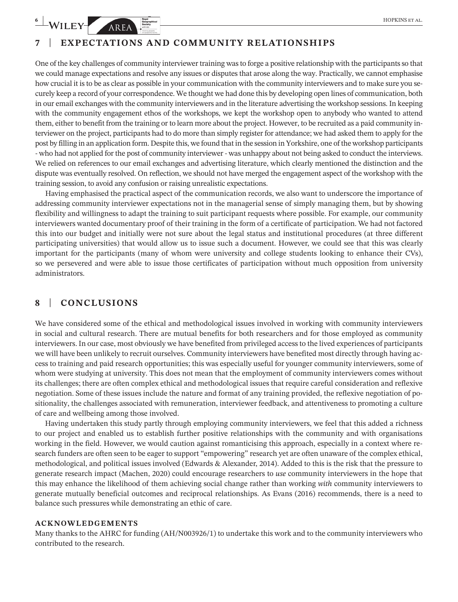# **7** | **EXPECTATIONS AND COMMUNITY RELATIONSHIPS**

One of the key challenges of community interviewer training was to forge a positive relationship with the participants so that we could manage expectations and resolve any issues or disputes that arose along the way. Practically, we cannot emphasise how crucial it is to be as clear as possible in your communication with the community interviewers and to make sure you securely keep a record of your correspondence. We thought we had done this by developing open lines of communication, both in our email exchanges with the community interviewers and in the literature advertising the workshop sessions. In keeping with the community engagement ethos of the workshops, we kept the workshop open to anybody who wanted to attend them, either to benefit from the training or to learn more about the project. However, to be recruited as a paid community interviewer on the project, participants had to do more than simply register for attendance; we had asked them to apply for the post by filling in an application form. Despite this, we found that in the session in Yorkshire, one of the workshop participants - who had not applied for the post of community interviewer - was unhappy about not being asked to conduct the interviews. We relied on references to our email exchanges and advertising literature, which clearly mentioned the distinction and the dispute was eventually resolved. On reflection, we should not have merged the engagement aspect of the workshop with the training session, to avoid any confusion or raising unrealistic expectations.

Having emphasised the practical aspect of the communication records, we also want to underscore the importance of addressing community interviewer expectations not in the managerial sense of simply managing them, but by showing flexibility and willingness to adapt the training to suit participant requests where possible. For example, our community interviewers wanted documentary proof of their training in the form of a certificate of participation. We had not factored this into our budget and initially were not sure about the legal status and institutional procedures (at three different participating universities) that would allow us to issue such a document. However, we could see that this was clearly important for the participants (many of whom were university and college students looking to enhance their CVs), so we persevered and were able to issue those certificates of participation without much opposition from university administrators.

# **8** | **CONCLUSIONS**

We have considered some of the ethical and methodological issues involved in working with community interviewers in social and cultural research. There are mutual benefits for both researchers and for those employed as community interviewers. In our case, most obviously we have benefited from privileged access to the lived experiences of participants we will have been unlikely to recruit ourselves. Community interviewers have benefited most directly through having access to training and paid research opportunities; this was especially useful for younger community interviewers, some of whom were studying at university. This does not mean that the employment of community interviewers comes without its challenges; there are often complex ethical and methodological issues that require careful consideration and reflexive negotiation. Some of these issues include the nature and format of any training provided, the reflexive negotiation of positionality, the challenges associated with remuneration, interviewer feedback, and attentiveness to promoting a culture of care and wellbeing among those involved.

Having undertaken this study partly through employing community interviewers, we feel that this added a richness to our project and enabled us to establish further positive relationships with the community and with organisations working in the field. However, we would caution against romanticising this approach, especially in a context where research funders are often seen to be eager to support "empowering" research yet are often unaware of the complex ethical, methodological, and political issues involved (Edwards & Alexander, 2014). Added to this is the risk that the pressure to generate research impact (Machen, 2020) could encourage researchers to *use* community interviewers in the hope that this may enhance the likelihood of them achieving social change rather than working *with* community interviewers to generate mutually beneficial outcomes and reciprocal relationships. As Evans (2016) recommends, there is a need to balance such pressures while demonstrating an ethic of care.

#### **ACKNOWLEDGEMENTS**

Many thanks to the AHRC for funding (AH/N003926/1) to undertake this work and to the community interviewers who contributed to the research.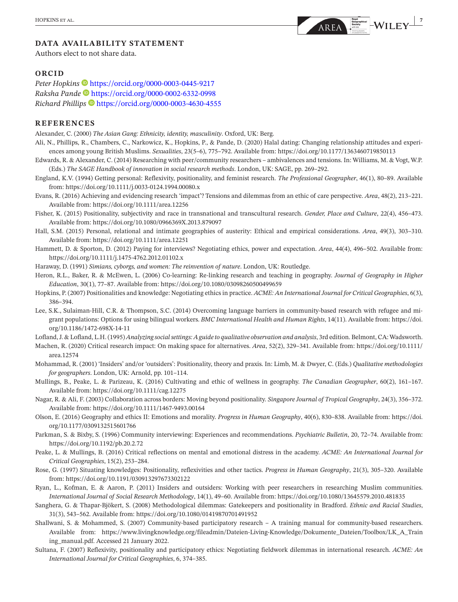## **DATA AVAILABILITY STATEMENT**

Authors elect to not share data.

#### **ORCID**

Peter Hopkins<sup>1</sup> https://orcid.org/0000-0003-0445-9217 *Raksha Pande* https://orcid.org/0000-0002-6332-0998 *Richard Phillips* https://orcid.org/0000-0003-4630-4555

#### **REFERENCES**

Alexander, C. (2000) *The Asian Gang: Ethnicity, identity, masculinity*. Oxford, UK: Berg.

- Ali, N., Phillips, R., Chambers, C., Narkowicz, K., Hopkins, P., & Pande, D. (2020) Halal dating: Changing relationship attitudes and experiences among young British Muslims. *Sexualities*, 23(5–6), 775–792. Available from: https://doi.org/10.1177/1363460719850113
- Edwards, R. & Alexander, C. (2014) Researching with peer/community researchers ambivalences and tensions. In: Williams, M. & Vogt, W.P. (Eds.) *The SAGE Handbook of innovation in social research methods*. London, UK: SAGE, pp. 269-292.
- England, K.V. (1994) Getting personal: Reflexivity, positionality, and feminist research. *The Professional Geographer*, 46(1), 80–89. Available from: https://doi.org/10.1111/j.0033-0124.1994.00080.x
- Evans, R. (2016) Achieving and evidencing research 'impact'? Tensions and dilemmas from an ethic of care perspective. *Area*, 48(2), 213– 221. Available from: https://doi.org/10.1111/area.12256
- Fisher, K. (2015) Positionality, subjectivity and race in transnational and transcultural research. Gender, Place and Culture, 22(4), 456-473. Available from: https://doi.org/10.1080/0966369X.2013.879097
- Hall, S.M. (2015) Personal, relational and intimate geographies of austerity: Ethical and empirical considerations. Area, 49(3), 303-310. Available from: https://doi.org/10.1111/area.12251
- Hammett, D. & Sporton, D. (2012) Paying for interviews? Negotiating ethics, power and expectation. *Area*, 44(4), 496-502. Available from: https://doi.org/10.1111/j.1475-4762.2012.01102.x
- Haraway, D. (1991) *Simians, cyborgs, and women: The reinvention of nature*. London, UK: Routledge.
- Heron, R.L., Baker, R. & McEwen, L. (2006) Co- learning: Re- linking research and teaching in geography. *Journal of Geography in Higher Education*, 30(1), 77-87. Available from: https://doi.org/10.1080/03098260500499659
- Hopkins, P. (2007) Positionalities and knowledge: Negotiating ethics in practice. *ACME: An International Journal for Critical Geographies*, 6(3), 386– 394.
- Lee, S.K., Sulaiman-Hill, C.R. & Thompson, S.C. (2014) Overcoming language barriers in community-based research with refugee and migrant populations: Options for using bilingual workers. *BMC International Health and Human Rights*, 14(11). Available from: https://doi. org/10.1186/1472-698X-14-11

Lofland, J. & Lofland, L.H. (1995) *Analyzing social settings: A guide to qualitative observation and analysis*, 3rd edition. Belmont, CA: Wadsworth.

- Machen, R. (2020) Critical research impact: On making space for alternatives. *Area*, 52(2), 329-341. Available from: https://doi.org/10.1111/ area.12574
- Mohammad, R. (2001) 'Insiders' and/or 'outsiders': Positionality, theory and praxis. In: Limb, M. & Dwyer, C. (Eds.) *Qualitative methodologies for geographers*. London, UK: Arnold, pp. 101-114.
- Mullings, B., Peake, L. & Parizeau, K. (2016) Cultivating and ethic of wellness in geography. *The Canadian Geographer*, 60(2), 161– 167. Available from: https://doi.org/10.1111/cag.12275
- Nagar, R. & Ali, F. (2003) Collaboration across borders: Moving beyond positionality. *Singapore Journal of Tropical Geography*, 24(3), 356-372. Available from: https://doi.org/10.1111/1467-9493.00164
- Olson, E. (2016) Geography and ethics II: Emotions and morality. *Progress in Human Geography*, 40(6), 830– 838. Available from: https://doi. org/10.1177/0309132515601766
- Parkman, S. & Bixby, S. (1996) Community interviewing: Experiences and recommendations. *Psychiatric Bulletin*, 20, 72-74. Available from: https://doi.org/10.1192/pb.20.2.72
- Peake, L. & Mullings, B. (2016) Critical reflections on mental and emotional distress in the academy. *ACME: An International Journal for Critical Geographies*, 15(2), 253– 284.
- Rose, G. (1997) Situating knowledges: Positionality, reflexivities and other tactics. *Progress in Human Geography*, 21(3), 305– 320. Available from: https://doi.org/10.1191/03091 32976 73302122
- Ryan, L., Kofman, E. & Aaron, P. (2011) Insiders and outsiders: Working with peer researchers in researching Muslim communities. *International Journal of Social Research Methodology*, 14(1), 49– 60. Available from: https://doi.org/10.1080/13645 579.2010.481835
- Sanghera, G. & Thapar- Bjökert, S. (2008) Methodological dilemmas: Gatekeepers and positionality in Bradford. *Ethnic and Racial Studies*, 31(3), 543-562. Available from: https://doi.org/10.1080/01419870701491952
- Shallwani, S. & Mohammed, S. (2007) Community-based participatory research A training manual for community-based researchers. Available from: https://www.livingknowledge.org/fileadmin/Dateien-Living-Knowledge/Dokumente\_Dateien/Toolbox/LK\_A\_Train ing\_manual.pdf. Accessed 21 January 2022.
- Sultana, F. (2007) Reflexivity, positionality and participatory ethics: Negotiating fieldwork dilemmas in international research. *ACME: An International Journal for Critical Geographies*, 6, 374– 385.